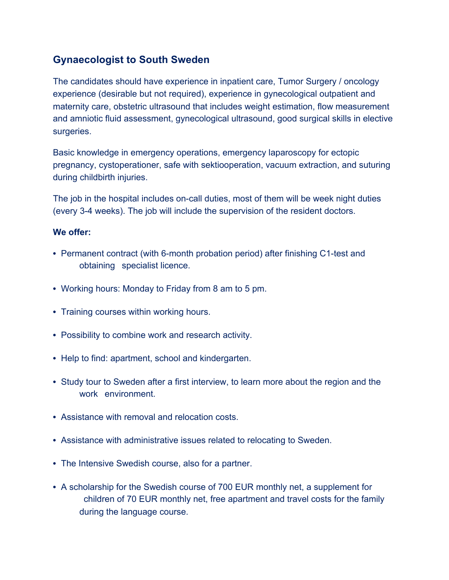## **Gynaecologist to South Sweden**

The candidates should have experience in inpatient care, Tumor Surgery / oncology experience (desirable but not required), experience in gynecological outpatient and maternity care, obstetric ultrasound that includes weight estimation, flow measurement and amniotic fluid assessment, gynecological ultrasound, good surgical skills in elective surgeries.

Basic knowledge in emergency operations, emergency laparoscopy for ectopic pregnancy, cystoperationer, safe with sektiooperation, vacuum extraction, and suturing during childbirth injuries.

The job in the hospital includes on-call duties, most of them will be week night duties (every 3-4 weeks). The job will include the supervision of the resident doctors.

## **We offer:**

- Permanent contract (with 6-month probation period) after finishing C1-test and obtaining specialist licence.
- Working hours: Monday to Friday from 8 am to 5 pm.
- Training courses within working hours.
- Possibility to combine work and research activity.
- Help to find: apartment, school and kindergarten.
- Study tour to Sweden after a first interview, to learn more about the region and the work environment.
- Assistance with removal and relocation costs.
- Assistance with administrative issues related to relocating to Sweden.
- The Intensive Swedish course, also for a partner.
- A scholarship for the Swedish course of 700 EUR monthly net, a supplement for children of 70 EUR monthly net, free apartment and travel costs for the family during the language course.